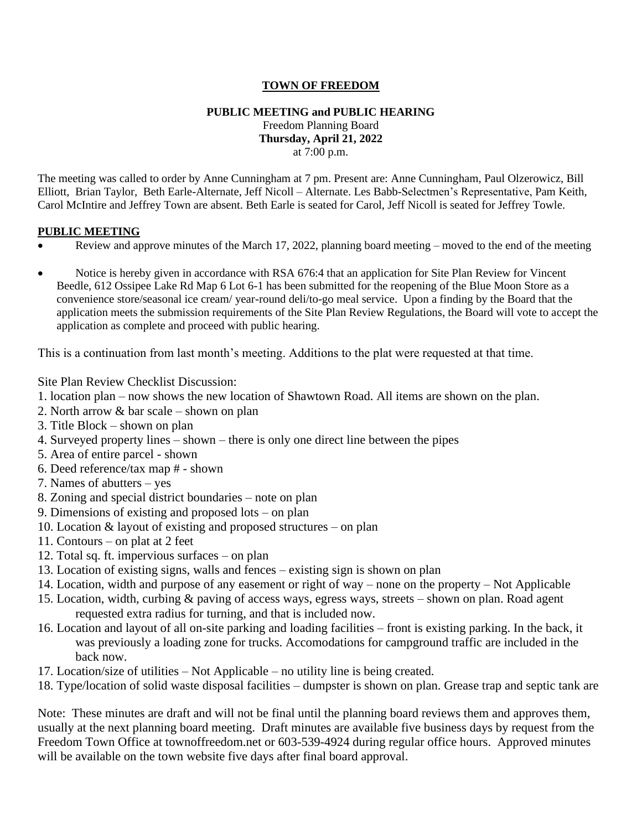## **TOWN OF FREEDOM**

#### **PUBLIC MEETING and PUBLIC HEARING**  Freedom Planning Board **Thursday, April 21, 2022** at 7:00 p.m.

The meeting was called to order by Anne Cunningham at 7 pm. Present are: Anne Cunningham, Paul Olzerowicz, Bill Elliott, Brian Taylor, Beth Earle-Alternate, Jeff Nicoll – Alternate. Les Babb-Selectmen's Representative, Pam Keith, Carol McIntire and Jeffrey Town are absent. Beth Earle is seated for Carol, Jeff Nicoll is seated for Jeffrey Towle.

#### **PUBLIC MEETING**

- Review and approve minutes of the March 17, 2022, planning board meeting moved to the end of the meeting
- Notice is hereby given in accordance with RSA 676:4 that an application for Site Plan Review for Vincent Beedle, 612 Ossipee Lake Rd Map 6 Lot 6-1 has been submitted for the reopening of the Blue Moon Store as a convenience store/seasonal ice cream/ year-round deli/to-go meal service. Upon a finding by the Board that the application meets the submission requirements of the Site Plan Review Regulations, the Board will vote to accept the application as complete and proceed with public hearing.

This is a continuation from last month's meeting. Additions to the plat were requested at that time.

Site Plan Review Checklist Discussion:

- 1. location plan now shows the new location of Shawtown Road. All items are shown on the plan.
- 2. North arrow & bar scale shown on plan
- 3. Title Block shown on plan
- 4. Surveyed property lines shown there is only one direct line between the pipes
- 5. Area of entire parcel shown
- 6. Deed reference/tax map # shown
- 7. Names of abutters yes
- 8. Zoning and special district boundaries note on plan
- 9. Dimensions of existing and proposed lots on plan
- 10. Location & layout of existing and proposed structures on plan
- 11. Contours on plat at 2 feet
- 12. Total sq. ft. impervious surfaces on plan
- 13. Location of existing signs, walls and fences existing sign is shown on plan
- 14. Location, width and purpose of any easement or right of way none on the property Not Applicable
- 15. Location, width, curbing & paving of access ways, egress ways, streets shown on plan. Road agent requested extra radius for turning, and that is included now.
- 16. Location and layout of all on-site parking and loading facilities front is existing parking. In the back, it was previously a loading zone for trucks. Accomodations for campground traffic are included in the back now.
- 17. Location/size of utilities Not Applicable no utility line is being created.
- 18. Type/location of solid waste disposal facilities dumpster is shown on plan. Grease trap and septic tank are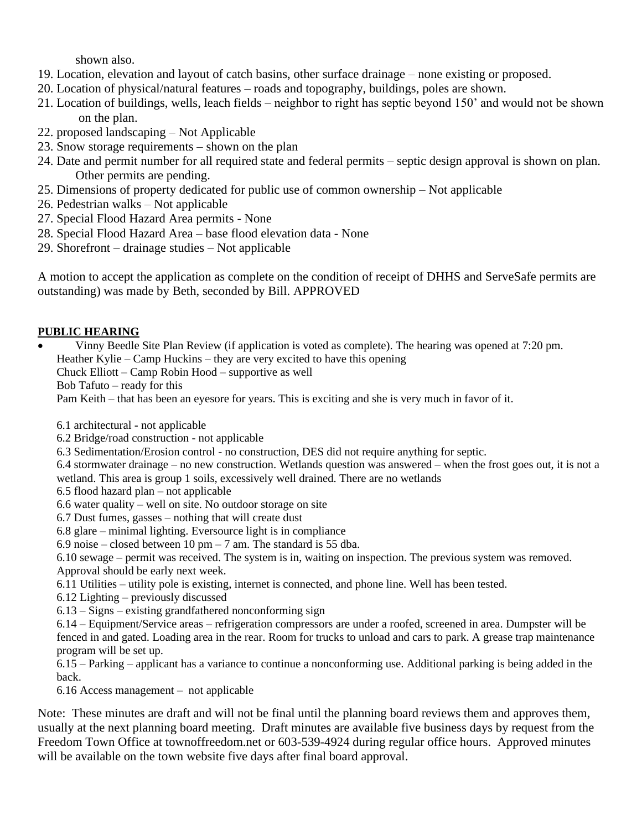shown also.

- 19. Location, elevation and layout of catch basins, other surface drainage none existing or proposed.
- 20. Location of physical/natural features roads and topography, buildings, poles are shown.
- 21. Location of buildings, wells, leach fields neighbor to right has septic beyond 150' and would not be shown on the plan.
- 22. proposed landscaping Not Applicable
- 23. Snow storage requirements shown on the plan
- 24. Date and permit number for all required state and federal permits septic design approval is shown on plan. Other permits are pending.
- 25. Dimensions of property dedicated for public use of common ownership Not applicable
- 26. Pedestrian walks Not applicable
- 27. Special Flood Hazard Area permits None
- 28. Special Flood Hazard Area base flood elevation data None
- 29. Shorefront drainage studies Not applicable

A motion to accept the application as complete on the condition of receipt of DHHS and ServeSafe permits are outstanding) was made by Beth, seconded by Bill. APPROVED

# **PUBLIC HEARING**

- Vinny Beedle Site Plan Review (if application is voted as complete). The hearing was opened at 7:20 pm.
	- Heather Kylie Camp Huckins they are very excited to have this opening
	- Chuck Elliott Camp Robin Hood supportive as well
	- Bob Tafuto ready for this

Pam Keith – that has been an eyesore for years. This is exciting and she is very much in favor of it.

- 6.1 architectural not applicable
- 6.2 Bridge/road construction not applicable
- 6.3 Sedimentation/Erosion control no construction, DES did not require anything for septic.
- 6.4 stormwater drainage no new construction. Wetlands question was answered when the frost goes out, it is not a wetland. This area is group 1 soils, excessively well drained. There are no wetlands
- 6.5 flood hazard plan not applicable
- 6.6 water quality well on site. No outdoor storage on site
- 6.7 Dust fumes, gasses nothing that will create dust
- 6.8 glare minimal lighting. Eversource light is in compliance
- 6.9 noise closed between 10 pm 7 am. The standard is 55 dba.
- 6.10 sewage permit was received. The system is in, waiting on inspection. The previous system was removed. Approval should be early next week.
- 6.11 Utilities utility pole is existing, internet is connected, and phone line. Well has been tested.
- 6.12 Lighting previously discussed
- 6.13 Signs existing grandfathered nonconforming sign
- 6.14 Equipment/Service areas refrigeration compressors are under a roofed, screened in area. Dumpster will be fenced in and gated. Loading area in the rear. Room for trucks to unload and cars to park. A grease trap maintenance program will be set up.
- 6.15 Parking applicant has a variance to continue a nonconforming use. Additional parking is being added in the back.
- 6.16 Access management not applicable
- Note: These minutes are draft and will not be final until the planning board reviews them and approves them, usually at the next planning board meeting. Draft minutes are available five business days by request from the Freedom Town Office at townoffreedom.net or 603-539-4924 during regular office hours. Approved minutes will be available on the town website five days after final board approval.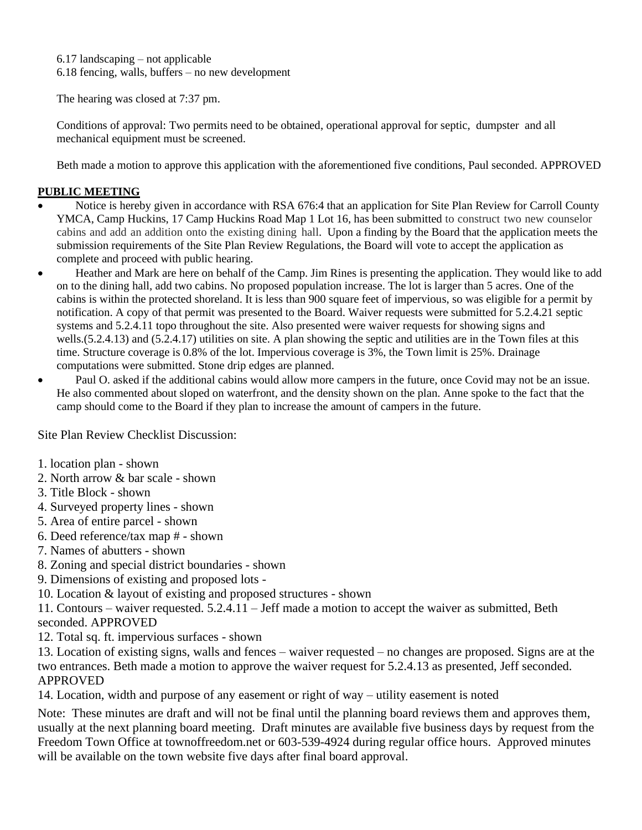6.17 landscaping – not applicable 6.18 fencing, walls, buffers – no new development

The hearing was closed at 7:37 pm.

Conditions of approval: Two permits need to be obtained, operational approval for septic, dumpster and all mechanical equipment must be screened.

Beth made a motion to approve this application with the aforementioned five conditions, Paul seconded. APPROVED

## **PUBLIC MEETING**

- Notice is hereby given in accordance with RSA 676:4 that an application for Site Plan Review for Carroll County YMCA, Camp Huckins, 17 Camp Huckins Road Map 1 Lot 16, has been submitted to construct two new counselor cabins and add an addition onto the existing dining hall. Upon a finding by the Board that the application meets the submission requirements of the Site Plan Review Regulations, the Board will vote to accept the application as complete and proceed with public hearing.
- Heather and Mark are here on behalf of the Camp. Jim Rines is presenting the application. They would like to add on to the dining hall, add two cabins. No proposed population increase. The lot is larger than 5 acres. One of the cabins is within the protected shoreland. It is less than 900 square feet of impervious, so was eligible for a permit by notification. A copy of that permit was presented to the Board. Waiver requests were submitted for 5.2.4.21 septic systems and 5.2.4.11 topo throughout the site. Also presented were waiver requests for showing signs and wells.(5.2.4.13) and (5.2.4.17) utilities on site. A plan showing the septic and utilities are in the Town files at this time. Structure coverage is 0.8% of the lot. Impervious coverage is 3%, the Town limit is 25%. Drainage computations were submitted. Stone drip edges are planned.
- Paul O. asked if the additional cabins would allow more campers in the future, once Covid may not be an issue. He also commented about sloped on waterfront, and the density shown on the plan. Anne spoke to the fact that the camp should come to the Board if they plan to increase the amount of campers in the future.

Site Plan Review Checklist Discussion:

1. location plan - shown

- 2. North arrow & bar scale shown
- 3. Title Block shown
- 4. Surveyed property lines shown
- 5. Area of entire parcel shown
- 6. Deed reference/tax map # shown
- 7. Names of abutters shown
- 8. Zoning and special district boundaries shown
- 9. Dimensions of existing and proposed lots -
- 10. Location & layout of existing and proposed structures shown

11. Contours – waiver requested. 5.2.4.11 – Jeff made a motion to accept the waiver as submitted, Beth seconded. APPROVED

12. Total sq. ft. impervious surfaces - shown

13. Location of existing signs, walls and fences – waiver requested – no changes are proposed. Signs are at the two entrances. Beth made a motion to approve the waiver request for 5.2.4.13 as presented, Jeff seconded. APPROVED

14. Location, width and purpose of any easement or right of way – utility easement is noted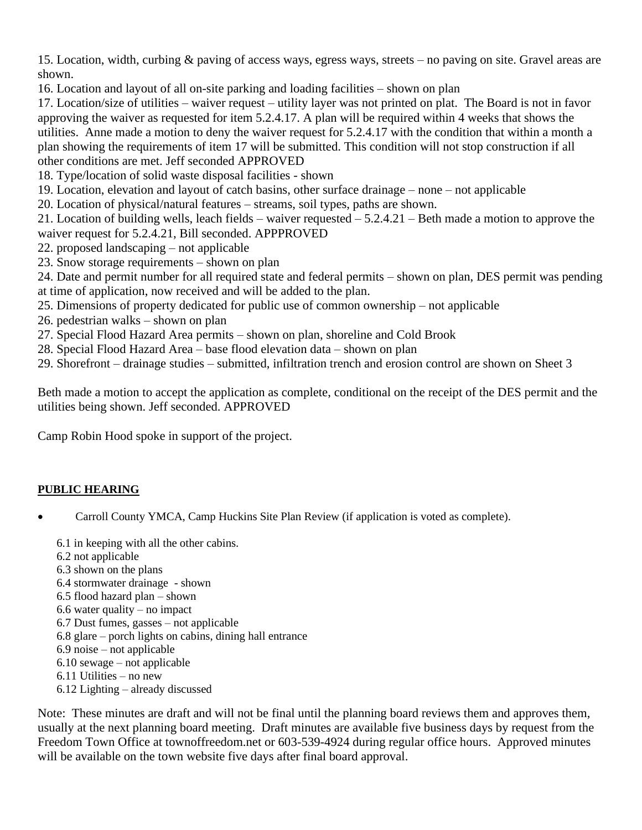15. Location, width, curbing & paving of access ways, egress ways, streets – no paving on site. Gravel areas are shown.

16. Location and layout of all on-site parking and loading facilities – shown on plan

17. Location/size of utilities – waiver request – utility layer was not printed on plat. The Board is not in favor approving the waiver as requested for item 5.2.4.17. A plan will be required within 4 weeks that shows the utilities. Anne made a motion to deny the waiver request for 5.2.4.17 with the condition that within a month a plan showing the requirements of item 17 will be submitted. This condition will not stop construction if all other conditions are met. Jeff seconded APPROVED

18. Type/location of solid waste disposal facilities - shown

19. Location, elevation and layout of catch basins, other surface drainage – none – not applicable

20. Location of physical/natural features – streams, soil types, paths are shown.

21. Location of building wells, leach fields – waiver requested – 5.2.4.21 – Beth made a motion to approve the waiver request for 5.2.4.21, Bill seconded. APPPROVED

- 22. proposed landscaping not applicable
- 23. Snow storage requirements shown on plan

24. Date and permit number for all required state and federal permits – shown on plan, DES permit was pending at time of application, now received and will be added to the plan.

- 25. Dimensions of property dedicated for public use of common ownership not applicable
- 26. pedestrian walks shown on plan
- 27. Special Flood Hazard Area permits shown on plan, shoreline and Cold Brook
- 28. Special Flood Hazard Area base flood elevation data shown on plan

29. Shorefront – drainage studies – submitted, infiltration trench and erosion control are shown on Sheet 3

Beth made a motion to accept the application as complete, conditional on the receipt of the DES permit and the utilities being shown. Jeff seconded. APPROVED

Camp Robin Hood spoke in support of the project.

# **PUBLIC HEARING**

- Carroll County YMCA, Camp Huckins Site Plan Review (if application is voted as complete).
	- 6.1 in keeping with all the other cabins.
	- 6.2 not applicable
	- 6.3 shown on the plans
	- 6.4 stormwater drainage shown
	- 6.5 flood hazard plan shown
	- 6.6 water quality no impact
	- 6.7 Dust fumes, gasses not applicable
	- 6.8 glare porch lights on cabins, dining hall entrance
	- 6.9 noise not applicable
	- 6.10 sewage not applicable
	- 6.11 Utilities no new
	- 6.12 Lighting already discussed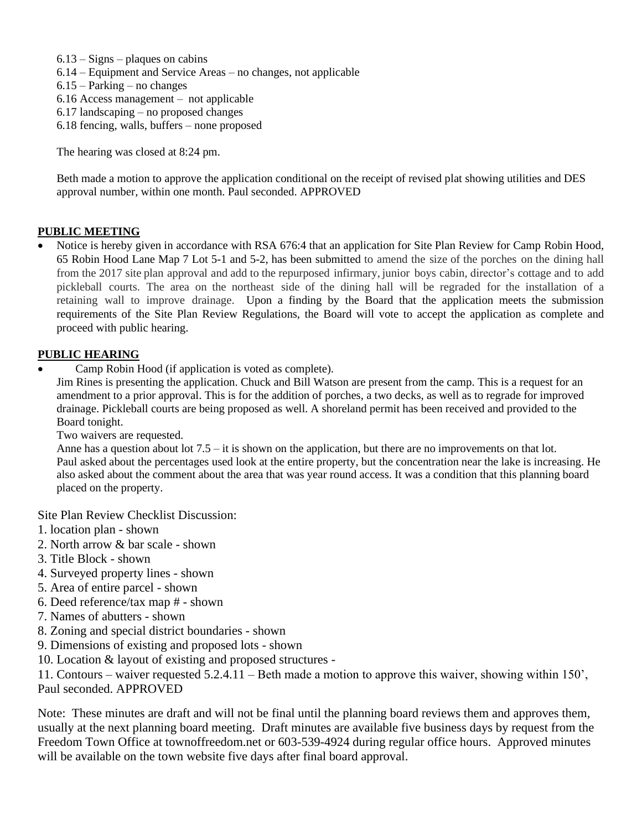- $6.13 Signs plaques$  on cabins
- 6.14 Equipment and Service Areas no changes, not applicable
- 6.15 Parking no changes
- 6.16 Access management not applicable
- 6.17 landscaping no proposed changes
- 6.18 fencing, walls, buffers none proposed

The hearing was closed at 8:24 pm.

Beth made a motion to approve the application conditional on the receipt of revised plat showing utilities and DES approval number, within one month. Paul seconded. APPROVED

### **PUBLIC MEETING**

• Notice is hereby given in accordance with RSA 676:4 that an application for Site Plan Review for Camp Robin Hood, 65 Robin Hood Lane Map 7 Lot 5-1 and 5-2, has been submitted to amend the size of the porches on the dining hall from the 2017 site plan approval and add to the repurposed infirmary, junior boys cabin, director's cottage and to add pickleball courts. The area on the northeast side of the dining hall will be regraded for the installation of a retaining wall to improve drainage. Upon a finding by the Board that the application meets the submission requirements of the Site Plan Review Regulations, the Board will vote to accept the application as complete and proceed with public hearing.

### **PUBLIC HEARING**

• Camp Robin Hood (if application is voted as complete).

Jim Rines is presenting the application. Chuck and Bill Watson are present from the camp. This is a request for an amendment to a prior approval. This is for the addition of porches, a two decks, as well as to regrade for improved drainage. Pickleball courts are being proposed as well. A shoreland permit has been received and provided to the Board tonight.

Two waivers are requested.

Anne has a question about lot 7.5 – it is shown on the application, but there are no improvements on that lot. Paul asked about the percentages used look at the entire property, but the concentration near the lake is increasing. He also asked about the comment about the area that was year round access. It was a condition that this planning board placed on the property.

Site Plan Review Checklist Discussion:

- 1. location plan shown
- 2. North arrow & bar scale shown
- 3. Title Block shown
- 4. Surveyed property lines shown
- 5. Area of entire parcel shown
- 6. Deed reference/tax map # shown
- 7. Names of abutters shown
- 8. Zoning and special district boundaries shown
- 9. Dimensions of existing and proposed lots shown
- 10. Location & layout of existing and proposed structures -

11. Contours – waiver requested 5.2.4.11 – Beth made a motion to approve this waiver, showing within 150', Paul seconded. APPROVED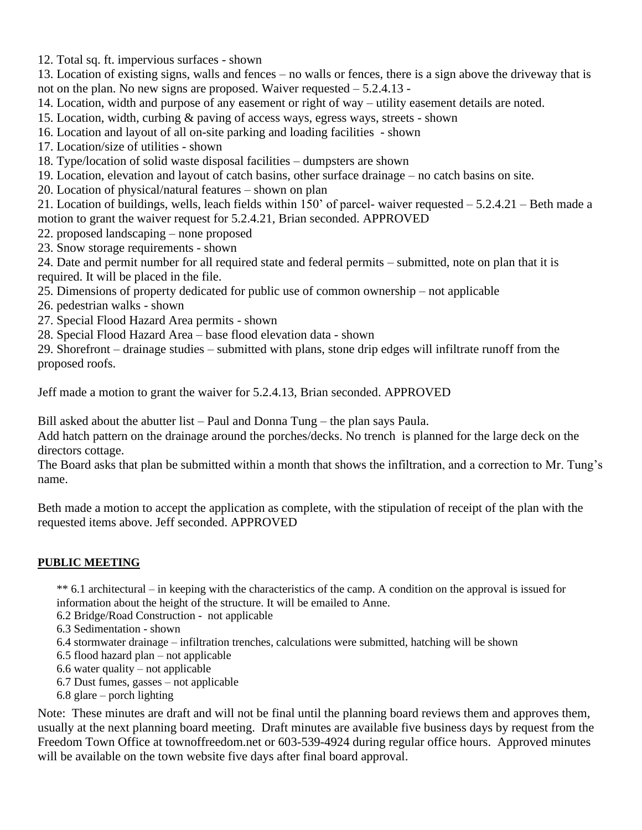12. Total sq. ft. impervious surfaces - shown

13. Location of existing signs, walls and fences – no walls or fences, there is a sign above the driveway that is not on the plan. No new signs are proposed. Waiver requested – 5.2.4.13 -

14. Location, width and purpose of any easement or right of way – utility easement details are noted.

15. Location, width, curbing & paving of access ways, egress ways, streets - shown

16. Location and layout of all on-site parking and loading facilities - shown

17. Location/size of utilities - shown

18. Type/location of solid waste disposal facilities – dumpsters are shown

19. Location, elevation and layout of catch basins, other surface drainage – no catch basins on site.

20. Location of physical/natural features – shown on plan

21. Location of buildings, wells, leach fields within 150' of parcel- waiver requested – 5.2.4.21 – Beth made a motion to grant the waiver request for 5.2.4.21, Brian seconded. APPROVED

22. proposed landscaping – none proposed

23. Snow storage requirements - shown

24. Date and permit number for all required state and federal permits – submitted, note on plan that it is required. It will be placed in the file.

25. Dimensions of property dedicated for public use of common ownership – not applicable

26. pedestrian walks - shown

27. Special Flood Hazard Area permits - shown

28. Special Flood Hazard Area – base flood elevation data - shown

29. Shorefront – drainage studies – submitted with plans, stone drip edges will infiltrate runoff from the proposed roofs.

Jeff made a motion to grant the waiver for 5.2.4.13, Brian seconded. APPROVED

Bill asked about the abutter list – Paul and Donna Tung – the plan says Paula.

Add hatch pattern on the drainage around the porches/decks. No trench is planned for the large deck on the directors cottage.

The Board asks that plan be submitted within a month that shows the infiltration, and a correction to Mr. Tung's name.

Beth made a motion to accept the application as complete, with the stipulation of receipt of the plan with the requested items above. Jeff seconded. APPROVED

## **PUBLIC MEETING**

\*\* 6.1 architectural – in keeping with the characteristics of the camp. A condition on the approval is issued for information about the height of the structure. It will be emailed to Anne.

6.2 Bridge/Road Construction - not applicable

6.3 Sedimentation - shown

6.4 stormwater drainage – infiltration trenches, calculations were submitted, hatching will be shown

6.5 flood hazard plan – not applicable

6.6 water quality – not applicable

6.7 Dust fumes, gasses – not applicable

6.8 glare – porch lighting